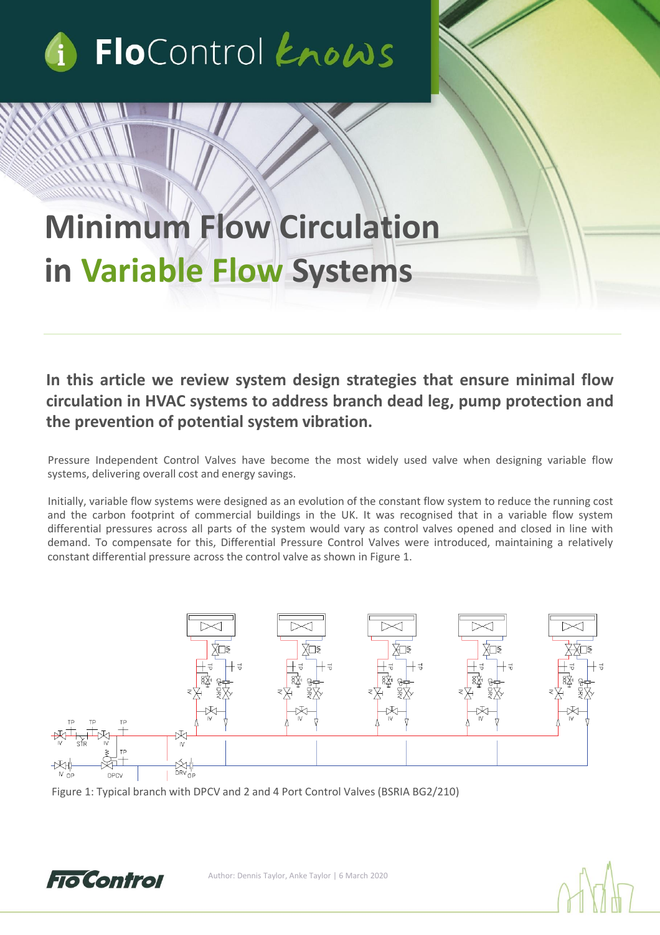

## **Minimum Flow Circulation in Variable Flow Systems**

**In this article we review system design strategies that ensure minimal flow circulation in HVAC systems to address branch dead leg, pump protection and the prevention of potential system vibration.**

Pressure Independent Control Valves have become the most widely used valve when designing variable flow systems, delivering overall cost and energy savings.

Initially, variable flow systems were designed as an evolution of the constant flow system to reduce the running cost and the carbon footprint of commercial buildings in the UK. It was recognised that in a variable flow system differential pressures across all parts of the system would vary as control valves opened and closed in line with demand. To compensate for this, Differential Pressure Control Valves were introduced, maintaining a relatively constant differential pressure across the control valve as shown in Figure 1.



Figure 1: Typical branch with DPCV and 2 and 4 Port Control Valves (BSRIA BG2/210)

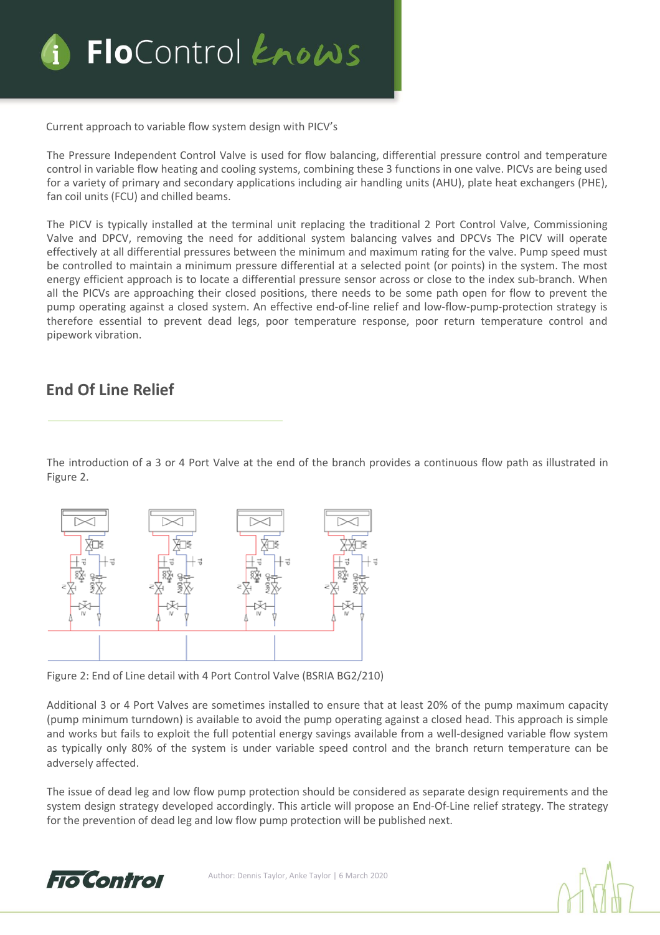

Current approach to variable flow system design with PICV's

The Pressure Independent Control Valve is used for flow balancing, differential pressure control and temperature control in variable flow heating and cooling systems, combining these 3 functions in one valve. PICVs are being used for a variety of primary and secondary applications including air handling units (AHU), plate heat exchangers (PHE), fan coil units (FCU) and chilled beams.

The PICV is typically installed at the terminal unit replacing the traditional 2 Port Control Valve, Commissioning Valve and DPCV, removing the need for additional system balancing valves and DPCVs The PICV will operate effectively at all differential pressures between the minimum and maximum rating for the valve. Pump speed must be controlled to maintain a minimum pressure differential at a selected point (or points) in the system. The most energy efficient approach is to locate a differential pressure sensor across or close to the index sub-branch. When all the PICVs are approaching their closed positions, there needs to be some path open for flow to prevent the pump operating against a closed system. An effective end-of-line relief and low-flow-pump-protection strategy is therefore essential to prevent dead legs, poor temperature response, poor return temperature control and pipework vibration.

## **End Of Line Relief**

The introduction of a 3 or 4 Port Valve at the end of the branch provides a continuous flow path as illustrated in Figure 2.



Figure 2: End of Line detail with 4 Port Control Valve (BSRIA BG2/210)

Additional 3 or 4 Port Valves are sometimes installed to ensure that at least 20% of the pump maximum capacity (pump minimum turndown) is available to avoid the pump operating against a closed head. This approach is simple and works but fails to exploit the full potential energy savings available from a well-designed variable flow system as typically only 80% of the system is under variable speed control and the branch return temperature can be adversely affected.

The issue of dead leg and low flow pump protection should be considered as separate design requirements and the system design strategy developed accordingly. This article will propose an End-Of-Line relief strategy. The strategy for the prevention of dead leg and low flow pump protection will be published next.